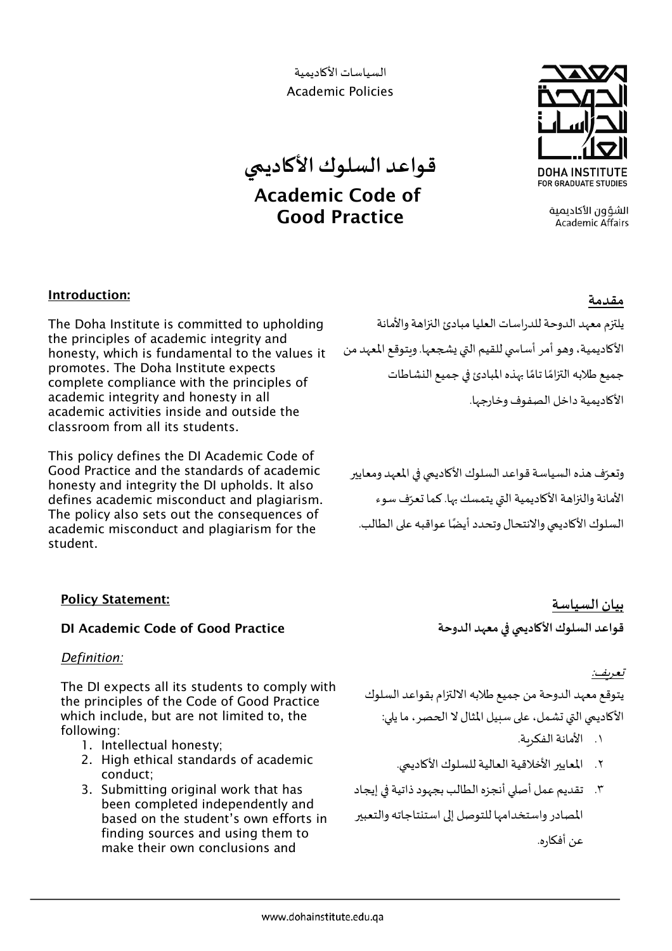السياسات الأكاديمية **Academic Policies** 

# قواعد السلوك الأكاديمي **Academic Code of Good Practice**



الشؤون الأكادىمىة **Academic Affairs** 

# Introduction:

The Doha Institute is committed to upholding the principles of academic integrity and honesty, which is fundamental to the values it promotes. The Doha Institute expects complete compliance with the principles of academic integrity and honesty in all academic activities inside and outside the classroom from all its students.

This policy defines the DI Academic Code of Good Practice and the standards of academic honesty and integrity the DI upholds. It also defines academic misconduct and plagiarism. The policy also sets out the consequences of academic misconduct and plagiarism for the student.

# مقدمة

يلتزم معهد الدوحة للدراسات العليا مبادئ النزاهة والأمانة الأكاديمية، وهو أمر أساسي للقيم التي يشجعها. وبتوقع المعهد من جميع طلابه التزامًا تامًا بهذه المبادئ في جميع النشاطات الأكاديمية داخل الصفوف وخارجها.

وتعرّف هذه السياسة قواعد السلوك الأكاديمي في المعهد ومعايير الأمانة والنزاهة الأكاديمية التي يتمسك بها. كما تعرّف سوء السلوك الأكاديمي والانتحال وتحدد أيضًا عواقبه على الطالب.

# **Policy Statement:**

## **DI Academic Code of Good Practice**

Definition:

The DI expects all its students to comply with the principles of the Code of Good Practice which include, but are not limited to, the following:

- 1. Intellectual honesty;
- 2. High ethical standards of academic conduct:
- 3. Submitting original work that has been completed independently and based on the student's own efforts in finding sources and using them to make their own conclusions and

بيان السياسة قواعد السلوك الأكاديمي في معهد الدوحة

## تعريف:

يتوقع معهد الدوحة من جميع طلابه الالتزام بقواعد السلوك الأكاديمي التي تشمل، على سبيل المثال لا الحصر ، ما يلي:

- ١. الأمانة الفكرية.
- ٢. المعايير الأخلاقية العالية للسلوك الأكاديمي.
- ٣. تقديم عمل أصلى أنجزه الطالب بجهود ذاتية في إيجاد المصادر واستخدامها للتوصل إلى استنتاجاته والتعبير عن أفكاره.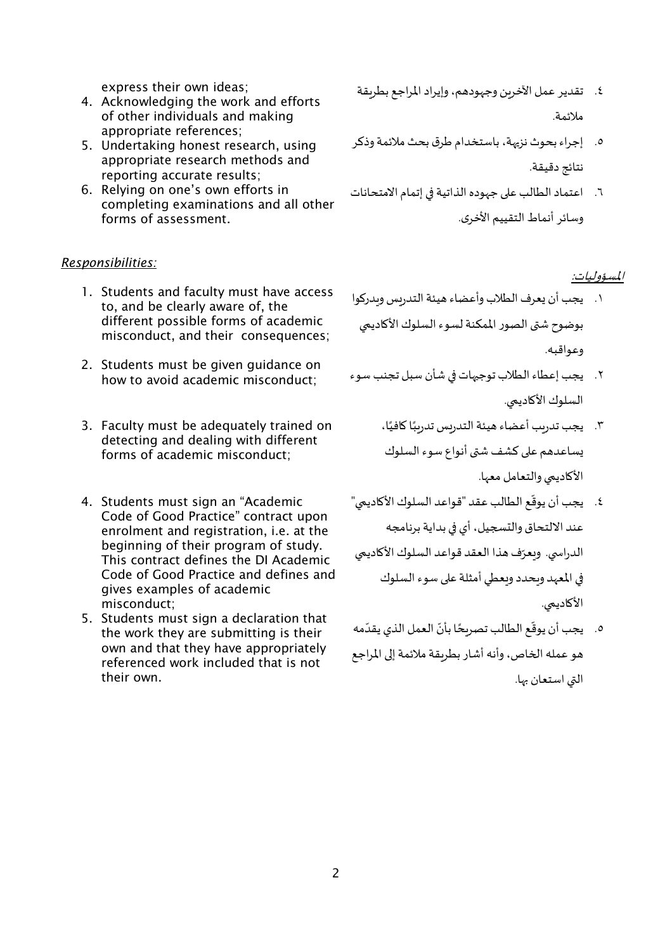express their own ideas;

- 4. Acknowledging the work and efforts of other individuals and making appropriate references;
- 5. Undertaking honest research, using appropriate research methods and reporting accurate results;
- 6. Relying on one's own efforts in completing examinations and all other forms of assessment.

#### *Responsibilities:*

- 1. Students and faculty must have access to, and be clearly aware of, the different possible forms of academic misconduct, and their consequences;
- 2. Students must be given guidance on how to avoid academic misconduct;
- 3. Faculty must be adequately trained on detecting and dealing with different forms of academic misconduct;
- 4. Students must sign an "Academic Code of Good Practice" contract upon enrolment and registration, i.e. at the beginning of their program of study. This contract defines the DI Academic Code of Good Practice and defines and gives examples of academic misconduct;
- 5. Students must sign a declaration that the work they are submitting is their own and that they have appropriately referenced work included that is not their own.
- ٤. تقدير عمل الأخرين وجهودهم، وإيراد المراجع بطريقة ملائمة.
- .٥ إجراء بحوث نز��ة، باستخدام طرق بحث ملائمة وذكر نتائج دقيقة.
- .٦ اعتماد الطالب ع�� جهوده الذاتية �� إتمام الامتحانات وسائر أنماط التقييم الأخرى.

#### المسؤوليات:

- .١ يجب أن �عرف الطلاب وأعضاء هيئة التدريس و�در�وا بوضوح ش�ى الصور الممكنة لسوء السلوك الأ�ادي�ي وعواقبھ.
- .٢ يجب إعطاء الطلاب توج��ات �� شأن سبل تجنب سوء السلوك الأكاديمي.
	- ٍ<br>ا ٣. يجب تدريب أعضاء هيئة التدريس تدريبًا كافيًا، يساعدهم على كشف شتى أنواع سوء السلوك الأكاديمي والتعامل معها.
- ֦֧֦֧֖֖֖֖֖֧֦֧ׅ֦֧ׅ֧ׅ֧֧֚֚֚֚֚֚֝֬֝֬֜֓֓֡֬֜֓֓֬֓֜֓֓֞֓֡֬֓֓֞֓֡֬֓֓֞֓֡֬֓֓֞֬֓֓֞֓֡֬֓֓֞֓֡֬֓֓֞֓֝֬ ٤. يجب أن يوقّع الطالب عقد "قواعد السلوك الأكاديمي" عند الالتحاق والتسجيل، أي في بداية برنامجه الدراسي. ويعرّف هذا العقد قواعد السلوك الأكاديمي في المعهد وبحدد ويعطي أمثلة على سوء السلوك الأكاديمي.
- **.** ه. يجب أن يوقّع الطالب تصريحًا بأنّ العمل الذي يقدّمه ًهو عمله الخاص، وأنه أشار بطريقة ملائمة إلى المراجع التي استعان بها.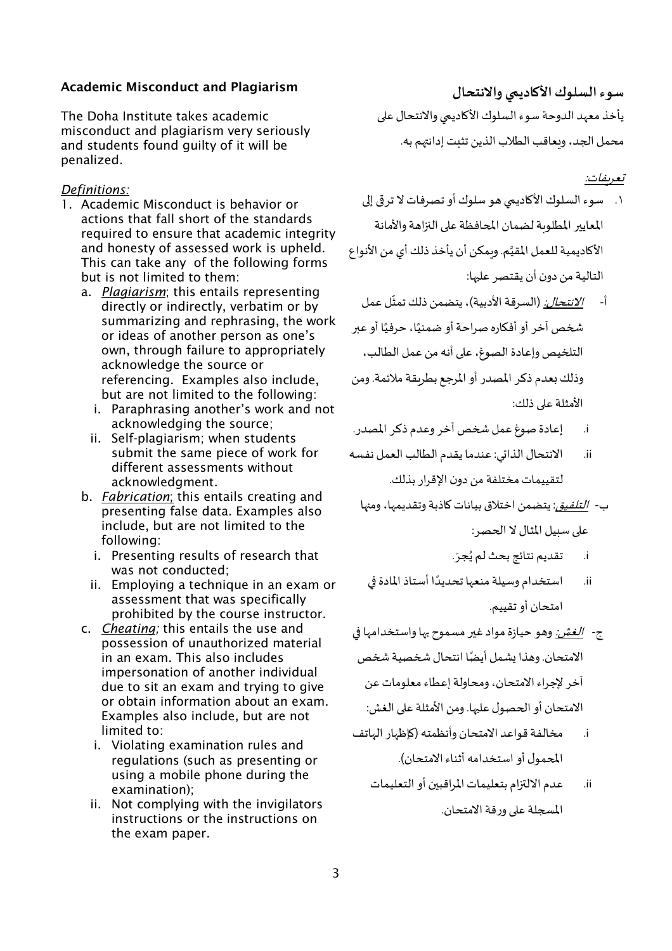## Academic Misconduct and Plagiarism

The Doha Institute takes academic misconduct and plagiarism very seriously and students found guilty of it will be penalized.

#### *Definitions:*

- 1. Academic Misconduct is behavior or actions that fall short of the standards required to ensure that academic integrity and honesty of assessed work is upheld. This can take any of the following forms but is not limited to them:
	- a. *Plagiarism*; this entails representing directly or indirectly, verbatim or by summarizing and rephrasing, the work or ideas of another person as one's own, through failure to appropriately acknowledge the source or referencing. Examples also include, but are not limited to the following:
		- i. Paraphrasing another's work and not acknowledging the source;
		- ii. Self-plagiarism; when students submit the same piece of work for different assessments without acknowledgment.
	- b. *Fabrication*; this entails creating and presenting false data. Examples also include, but are not limited to the following:
		- i. Presenting results of research that was not conducted;
		- ii. Employing a technique in an exam or assessment that was specifically prohibited by the course instructor.
	- c. *Cheating;* this entails the use and possession of unauthorized material in an exam. This also includes impersonation of another individual due to sit an exam and trying to give or obtain information about an exam. Examples also include, but are not limited to:
		- i. Violating examination rules and regulations (such as presenting or using a mobile phone during the examination);
		- ii. Not complying with the invigilators instructions or the instructions on the exam paper.

**سوء السلوك الأ�ادي�ي والانتحال** يأخذ معهد الدوحة سوء السلوك الأكاديمي والانتحال على محمل الجد، ويعاقب الطلاب الذين تثبت إدانتهم به.

#### <u>تعريفات:</u>

- ١. سوء السلوك الأكاديمي هو سلوك أو تصرفات لا تر قي إلى المعايير المطلوبة لضمان المحافظة على النزاهة والأمانة الأكاديمية للعمل المقيَّم. وبمكن أن يأخذ ذلك أي من الأنواع التالية من دون أن يقتصر عل��ا:
- ֦֧֦֧֦֧֦֧֦֧֦֧֦֧֦֧֦֧֦֧֦֧֦֧֦֧֦֧֦֧ׅ֧֦֧֦֧֧֦֧֧֦֧֧ׅ֧֦֧֦֧֧֦֧֦֧֪֦֧֜֓֓֜֓֓֜֓֓֓֜֓֓֜֬֓֜֬֓֬֜֬ أ- *الانتحال:* (السرقة الأدبية)، يتضمن ذلك تمثّل عمل شخص آخر أو أفكاره صراحة أو ضمنيًا، حرفيًا أو عبر الت�خيص وإعادة الصوغ، ع�� أنھ من عمل الطالب، وذلك �عدم ذكر المصدر أو المرجع بطر�قة ملائمة. ومن الأمثلة على ذلك:
- i. إعادة صوغ عمل �خص آخر وعدم ذكر المصدر.
- ii. الانتحال الذا�ي: عندما يقدم الطالب العمل نفسھ لتقييمات مختلفة من دون الإقرار بذلك.
	- ب- ا*لتلفيق*: يتضمن اختلاق بيانات كاذبة وتقديمها، ومنها على سبيل المثال لا الحصر:
		- .<br>i. تقديم نتائج بحث لم يُجرَ.
	- ii. استخدام وسيلة منعها تحديدًا أستاذ المادة في امتحان أو تقييم.
- ج- ا*لغش:* وهو حيازة مواد غير مسموح بها واستخدامها في ٍ<br>; الامتحان. وهذا يشمل أيضًا انتحال شخصية شخص آخر لإجراء الامتحان، ومحاولة إعطاء معلومات عن الامتحان أو الحصول عليها. ومن الأمثلة على الغش:
- i. مخالفة قواعد الامتحان وأنظمتھ (�إظهار الهاتف ا�حمول أو استخدامھ أثناء الامتحان).
	- ii. عدم الال��ام بتعليمات المراقب�ن أو التعليمات الم�جلة ع�� ورقة الامتحان.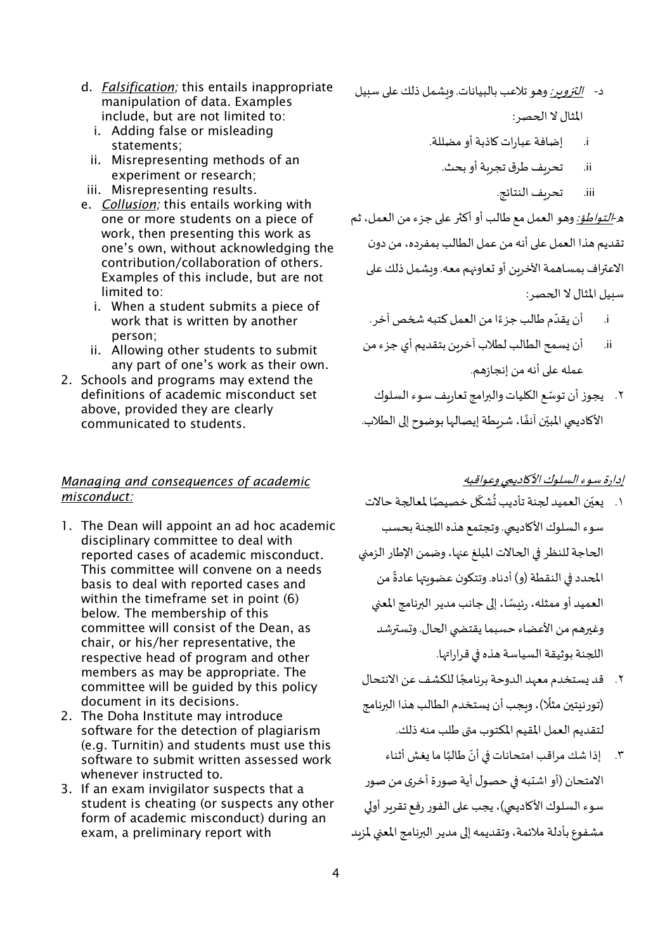- d. Falsification; this entails inappropriate manipulation of data. Examples include, but are not limited to:
	- i. Adding false or misleading statements:
	- ii. Misrepresenting methods of an experiment or research;
- iii. Misrepresenting results.
- e. Collusion; this entails working with one or more students on a piece of work, then presenting this work as one's own, without acknowledging the contribution/collaboration of others. Examples of this include, but are not limited to:
	- i. When a student submits a piece of work that is written by another person:
	- ii. Allowing other students to submit any part of one's work as their own.
- 2. Schools and programs may extend the definitions of academic misconduct set above, provided they are clearly communicated to students.

## Managing and consequences of academic misconduct:

- 1. The Dean will appoint an ad hoc academic disciplinary committee to deal with reported cases of academic misconduct. This committee will convene on a needs basis to deal with reported cases and within the timeframe set in point (6) below. The membership of this committee will consist of the Dean, as chair, or his/her representative, the respective head of program and other members as may be appropriate. The committee will be quided by this policy document in its decisions.
- 2. The Doha Institute may introduce software for the detection of plagiarism (e.g. Turnitin) and students must use this software to submit written assessed work whenever instructed to.
- 3. If an exam invigilator suspects that a student is cheating (or suspects any other form of academic misconduct) during an exam, a preliminary report with
- د- التزوير: وهو تلاعب بالبيانات. وبشمل ذلك على سبيل المثال لا الحصر :
	- إضافة عبارات كاذبة أو مضللة.  $\blacksquare$ .i
		- تحريف طرق تجرية أو بحث. .ii
			- iii. تحريف النتائج.

هـ-*التـواطؤ:* وهـو الـعمل مع طالب أو أكثر على جزء من الـعمل، ثم تقديم هذا العمل على أنه من عمل الطالب بمفرده، من دون الاعتراف بمساهمة الآخرين أو تعاونهم معه. ويشمل ذلك على سبيل المثال لا الحصر:

- i. أن يقدّم طالب جزءًا من العمل كتبه شخص آخر .
- أن يسمح الطالب لطلاب آخربن بتقديم أي جزء من ii. عمله على أنه من إنجازهم.
- ٢. يجوز أن توسِّع الكليات والبرامج تعاريف سوء السلوك الأكاديمي المبيّن آنفًا، شربطة إيصالها بوضوح إلى الطلاب.

# إدارة سوء السلوك الأكاديمي وعواقبه

- ١. يعيّن العميد لجنة تأديب تُشكّل خصيصًا لمعالجة حالات سوء السلوك الأكاديمي. وتجتمع هذه اللجنة بحسب الحاجة للنظر في الحالات المبلغ عنها، وضمن الإطار الزمني المحدد في النقطة (و) أدناه. وتتكون عضوبتها عادةً من العميد أو ممثله، رئيسًا، إلى جانب مدير البرنامج المعنى وغيرهم من الأعضاء حسبما يقتضى الحال. وتسترشد اللجنة بوثيقة السياسة هذه في قراراتها.
- ٢. قد يستخدم معهد الدوحة برنامجًا للكشف عن الانتحال (تورنيتين مثلًا)، وبجب أن يستخدم الطالب هذا البرنامج لتقديم العمل المقيم المكتوب متى طلب منه ذلك.
- ٣. [ذا شك مراقب امتحانات في أنّ طالبًا ما يغش أثناء الامتحان (أو اشتبه في حصول أية صورة أخرى من صور سوء السلوك الأكاديمي)، يجب على الفور رفع تقربر أولى مشفوع بأدلة ملائمة، وتقديمه إلى مدير البرنامج المعنى لمزبد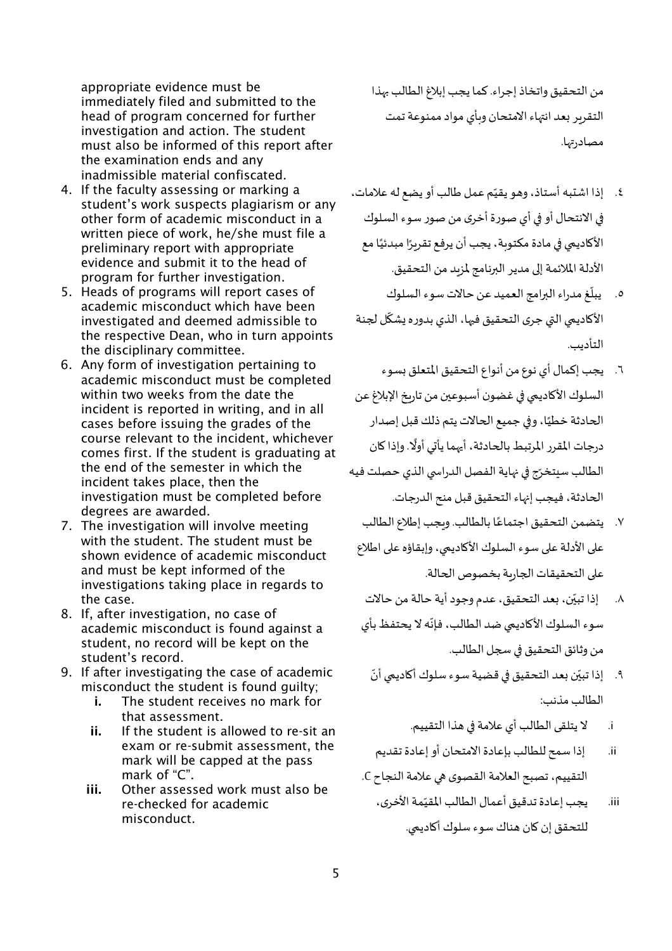appropriate evidence must be immediately filed and submitted to the head of program concerned for further investigation and action. The student must also be informed of this report after the examination ends and any inadmissible material confiscated.

- 4. If the faculty assessing or marking a student's work suspects plagiarism or any other form of academic misconduct in a written piece of work, he/she must file a preliminary report with appropriate evidence and submit it to the head of program for further investigation.
- 5. Heads of programs will report cases of academic misconduct which have been investigated and deemed admissible to the respective Dean, who in turn appoints the disciplinary committee.
- 6. Any form of investigation pertaining to academic misconduct must be completed within two weeks from the date the incident is reported in writing, and in all cases before issuing the grades of the course relevant to the incident, whichever comes first. If the student is graduating at the end of the semester in which the incident takes place, then the investigation must be completed before degrees are awarded.
- 7. The investigation will involve meeting with the student. The student must be shown evidence of academic misconduct and must be kept informed of the investigations taking place in regards to the case.
- 8. If, after investigation, no case of academic misconduct is found against a student, no record will be kept on the student's record.
- 9. If after investigating the case of academic misconduct the student is found guilty;
	- i. The student receives no mark for that assessment.
	- ii. If the student is allowed to re-sit an exam or re-submit assessment, the mark will be capped at the pass mark of "C".
	- iii. Other assessed work must also be re-checked for academic misconduct.

من التحقيق واتخاذ إجراء. كما يجب إبلاغ الطالب ��ذا التقرير بعد انتهاء الامتحان وبأي مواد ممنوعة تمت مصادر تها.

- ֖֖֖֖֖֖֖֖֖֖֧֪֪ׅ֧֧ׅ֧֧ׅ֧֧ׅ֧֚֚֚֚֚֚֚֚֚֚֚֚֚֚֚֡֬֝֓֓֓֝֬֜֓֓֝֬֜֓֓֝֬֜֓֝֬ ٤. إذا اشتبه أستاذ، وهو يقيّم عمل طالب أو يضع له علامات، �� الانتحال أو �� أي صورة أخرى من صور سوء السلوك الأكاديمي في مادة مكتوبة، يجب أن يرفع تقربِرًا مبدئيًا مع الأدلة الملائمة إلى مدير البرنامج لمزىد من التحقيق.
- ٥. يبلّغ مدراء البرامج العميد عن حالات سوء السلوك ֦֧֦֧֦֧֦֧֦֧֦֧֦֧֦֧ׅ֧֦֧ׅ֧֝֜֓֓֜֓֓<u>֓</u> الأكاديمي التي جرى التحقيق فيها، الذي بدوره يشكّل لجنة التأديب.
- ٦. يجب إكمال أي نوع من أنواع التحقيق المتعلق بسوء السلوك الأكاديمي في غضون أسبوعين من تارىخ الإبلاغ عن الحادثة خطيًا، وفي جميع الحالات يتم ذلك قبل إصدار ًدرجات المقرر المرتبط بالحادثة، أيهما يأتي أولًا. وإذا كان الطالب سيتخرّج في نهاية الفصل الدراسي الذي حصلت فيه ا�حادثة، فيجب إ��اء التحقيق قبل منح الدرجات.
	- ً٧. يتضمن التحقيق اجتماعًا بالطالب. ويجب إطلاع الطالب على الأدلة على سوء السلوك الأكاديمي، وإبقاؤه على اطلاع على التحقيقات الجاربة بخصوص الحالة.
	- ّ٨. إذا تبيّن، بعد التحقيق، عدم وجود أية حالة من حالات ֦֧֦֧֦֧֦֧֦֧֦֧֦֧֦֧֦֧֦֧֦֧֦֧֦֧֦֧ׅ֧֦֧ׅ֧֧ׅ֧֦֧֧֦֧֧֦֧֛֪֦֧֜֓֜֜֓֜֜֓֜֜֬֜֜ سوء السلوك الأكاديمي ضد الطالب، فإنّه لا يحتفظ بأي من وثائق التحقيق في سجل الطالب.
		- ٩. إذا تبيّن بعد التحقيق في قضية سوء سلوك أكاديمي أنّ الطالب مذنب:
			- i. لا يتلقى الطالب أي علامة �� هذا التقييم.
	- ii. إذا سمح للطالب بإعادة الامتحان أو إعادة تقديم التقييم، تصبح العلامة القصوى �� علامة النجاح C.
		- ֦֧֦֧֦֧֦֧֦֧֦֧֦֧֦֧֦֧֦֧֦֧֦֧֦֧֦֧ׅ֧ׅ֧֧֜֓֜֓֜ iii. يجب إعادة تدقيق أعمال الطالب المقيّمة الأخرى، للتحقق إن �ان هناك سوء سلوك أ�ادي�ي.